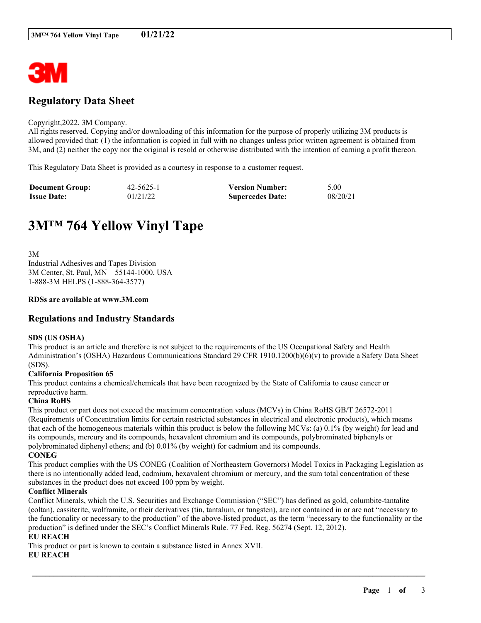

## **Regulatory Data Sheet**

#### Copyright,2022, 3M Company.

All rights reserved. Copying and/or downloading of this information for the purpose of properly utilizing 3M products is allowed provided that: (1) the information is copied in full with no changes unless prior written agreement is obtained from 3M, and (2) neither the copy nor the original is resold or otherwise distributed with the intention of earning a profit thereon.

This Regulatory Data Sheet is provided as a courtesy in response to a customer request.

| <b>Document Group:</b> | 42-5625-1 | <b>Version Number:</b>  | 5.00     |
|------------------------|-----------|-------------------------|----------|
| <b>Issue Date:</b>     | 01/21/22  | <b>Supercedes Date:</b> | 08/20/21 |

# **3M™ 764 Yellow Vinyl Tape**

3M Industrial Adhesives and Tapes Division 3M Center, St. Paul, MN 55144-1000, USA 1-888-3M HELPS (1-888-364-3577)

#### **RDSs are available at www.3M.com**

## **Regulations and Industry Standards**

#### **SDS (US OSHA)**

This product is an article and therefore is not subject to the requirements of the US Occupational Safety and Health Administration's (OSHA) Hazardous Communications Standard 29 CFR 1910.1200(b)(6)(v) to provide a Safety Data Sheet (SDS).

#### **California Proposition 65**

This product contains a chemical/chemicals that have been recognized by the State of California to cause cancer or reproductive harm.

#### **China RoHS**

This product or part does not exceed the maximum concentration values (MCVs) in China RoHS GB/T 26572-2011 (Requirements of Concentration limits for certain restricted substances in electrical and electronic products), which means that each of the homogeneous materials within this product is below the following MCVs: (a) 0.1% (by weight) for lead and its compounds, mercury and its compounds, hexavalent chromium and its compounds, polybrominated biphenyls or polybrominated diphenyl ethers; and (b) 0.01% (by weight) for cadmium and its compounds. **CONEG**

This product complies with the US CONEG (Coalition of Northeastern Governors) Model Toxics in Packaging Legislation as there is no intentionally added lead, cadmium, hexavalent chromium or mercury, and the sum total concentration of these substances in the product does not exceed 100 ppm by weight.

## **Conflict Minerals**

Conflict Minerals, which the U.S. Securities and Exchange Commission ("SEC") has defined as gold, columbite-tantalite (coltan), cassiterite, wolframite, or their derivatives (tin, tantalum, or tungsten), are not contained in or are not "necessary to the functionality or necessary to the production" of the above-listed product, as the term "necessary to the functionality or the production" is defined under the SEC's Conflict Minerals Rule. 77 Fed. Reg. 56274 (Sept. 12, 2012).

\_\_\_\_\_\_\_\_\_\_\_\_\_\_\_\_\_\_\_\_\_\_\_\_\_\_\_\_\_\_\_\_\_\_\_\_\_\_\_\_\_\_\_\_\_\_\_\_\_\_\_\_\_\_\_\_\_\_\_\_\_\_\_\_\_\_\_\_\_\_\_\_\_\_\_\_\_\_\_\_\_\_\_\_\_\_\_\_\_\_

## **EU REACH**

This product or part is known to contain a substance listed in Annex XVII.

#### **EU REACH**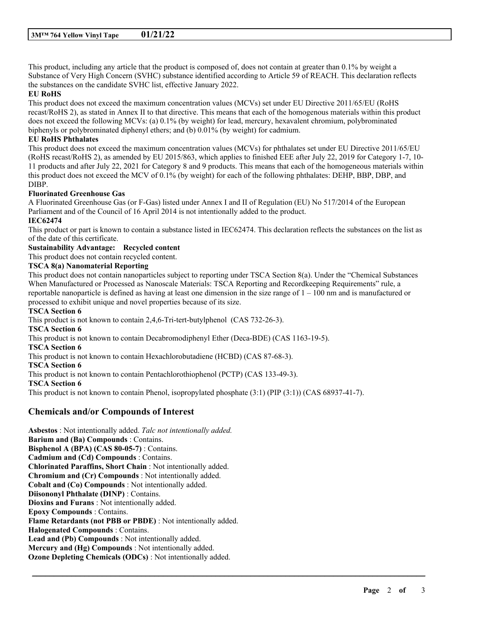This product, including any article that the product is composed of, does not contain at greater than 0.1% by weight a Substance of Very High Concern (SVHC) substance identified according to Article 59 of REACH. This declaration reflects the substances on the candidate SVHC list, effective January 2022.

## **EU RoHS**

This product does not exceed the maximum concentration values (MCVs) set under EU Directive 2011/65/EU (RoHS recast/RoHS 2), as stated in Annex II to that directive. This means that each of the homogenous materials within this product does not exceed the following MCVs: (a) 0.1% (by weight) for lead, mercury, hexavalent chromium, polybrominated biphenyls or polybrominated diphenyl ethers; and (b) 0.01% (by weight) for cadmium.

## **EU RoHS Phthalates**

This product does not exceed the maximum concentration values (MCVs) for phthalates set under EU Directive 2011/65/EU (RoHS recast/RoHS 2), as amended by EU 2015/863, which applies to finished EEE after July 22, 2019 for Category 1-7, 10- 11 products and after July 22, 2021 for Category 8 and 9 products. This means that each of the homogeneous materials within this product does not exceed the MCV of 0.1% (by weight) for each of the following phthalates: DEHP, BBP, DBP, and DIBP.

#### **Fluorinated Greenhouse Gas**

A Fluorinated Greenhouse Gas (or F-Gas) listed under Annex I and II of Regulation (EU) No 517/2014 of the European Parliament and of the Council of 16 April 2014 is not intentionally added to the product.

## **IEC62474**

This product or part is known to contain a substance listed in IEC62474. This declaration reflects the substances on the list as of the date of this certificate.

## **Sustainability Advantage: Recycled content**

This product does not contain recycled content.

#### **TSCA 8(a) Nanomaterial Reporting**

This product does not contain nanoparticles subject to reporting under TSCA Section 8(a). Under the "Chemical Substances When Manufactured or Processed as Nanoscale Materials: TSCA Reporting and Recordkeeping Requirements" rule, a reportable nanoparticle is defined as having at least one dimension in the size range of  $1 - 100$  nm and is manufactured or processed to exhibit unique and novel properties because of its size.

\_\_\_\_\_\_\_\_\_\_\_\_\_\_\_\_\_\_\_\_\_\_\_\_\_\_\_\_\_\_\_\_\_\_\_\_\_\_\_\_\_\_\_\_\_\_\_\_\_\_\_\_\_\_\_\_\_\_\_\_\_\_\_\_\_\_\_\_\_\_\_\_\_\_\_\_\_\_\_\_\_\_\_\_\_\_\_\_\_\_

## **TSCA Section 6**

This product is not known to contain 2,4,6-Tri-tert-butylphenol (CAS 732-26-3). **TSCA Section 6** This product is not known to contain Decabromodiphenyl Ether (Deca-BDE) (CAS 1163-19-5). **TSCA Section 6** This product is not known to contain Hexachlorobutadiene (HCBD) (CAS 87-68-3). **TSCA Section 6** This product is not known to contain Pentachlorothiophenol (PCTP) (CAS 133-49-3). **TSCA Section 6** This product is not known to contain Phenol, isopropylated phosphate (3:1) (PIP (3:1)) (CAS 68937-41-7).

## **Chemicals and/or Compounds of Interest**

**Asbestos** : Not intentionally added. *Talc not intentionally added.* **Barium and (Ba) Compounds** : Contains. **Bisphenol A (BPA) (CAS 80-05-7)** : Contains. **Cadmium and (Cd) Compounds** : Contains. **Chlorinated Paraffins, Short Chain** : Not intentionally added. **Chromium and (Cr) Compounds** : Not intentionally added. **Cobalt and (Co) Compounds** : Not intentionally added. **Diisononyl Phthalate (DINP)** : Contains. **Dioxins and Furans** : Not intentionally added. **Epoxy Compounds** : Contains. **Flame Retardants (not PBB or PBDE)** : Not intentionally added. **Halogenated Compounds** : Contains. **Lead and (Pb) Compounds** : Not intentionally added. **Mercury and (Hg) Compounds** : Not intentionally added. **Ozone Depleting Chemicals (ODCs)** : Not intentionally added.